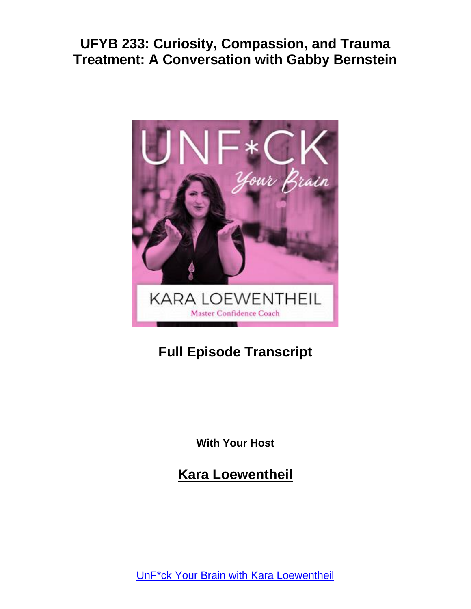

# **Full Episode Transcript**

**With Your Host**

**Kara Loewentheil**

UnF\*ck Your Brain with Kara [Loewentheil](https://unfuckyourbrain.com/podcast/)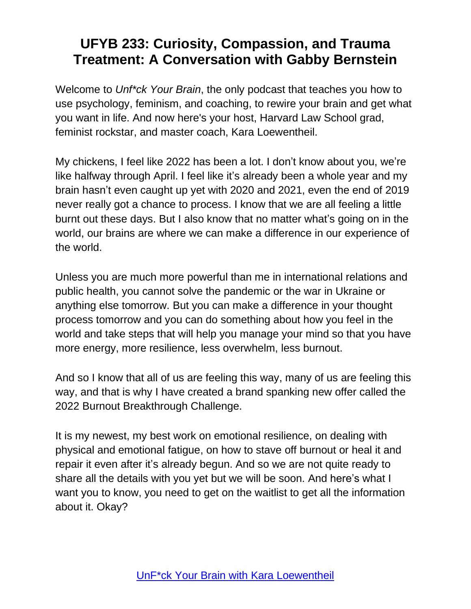Welcome to *Unf\*ck Your Brain*, the only podcast that teaches you how to use psychology, feminism, and coaching, to rewire your brain and get what you want in life. And now here's your host, Harvard Law School grad, feminist rockstar, and master coach, Kara Loewentheil.

My chickens, I feel like 2022 has been a lot. I don't know about you, we're like halfway through April. I feel like it's already been a whole year and my brain hasn't even caught up yet with 2020 and 2021, even the end of 2019 never really got a chance to process. I know that we are all feeling a little burnt out these days. But I also know that no matter what's going on in the world, our brains are where we can make a difference in our experience of the world.

Unless you are much more powerful than me in international relations and public health, you cannot solve the pandemic or the war in Ukraine or anything else tomorrow. But you can make a difference in your thought process tomorrow and you can do something about how you feel in the world and take steps that will help you manage your mind so that you have more energy, more resilience, less overwhelm, less burnout.

And so I know that all of us are feeling this way, many of us are feeling this way, and that is why I have created a brand spanking new offer called the 2022 Burnout Breakthrough Challenge.

It is my newest, my best work on emotional resilience, on dealing with physical and emotional fatigue, on how to stave off burnout or heal it and repair it even after it's already begun. And so we are not quite ready to share all the details with you yet but we will be soon. And here's what I want you to know, you need to get on the waitlist to get all the information about it. Okay?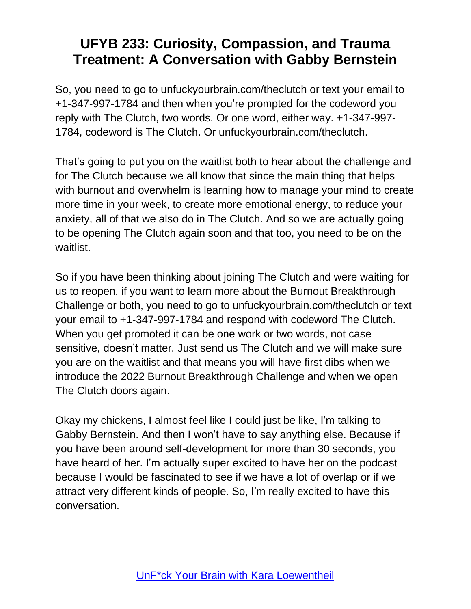So, you need to go to unfuckyourbrain.com/theclutch or text your email to +1-347-997-1784 and then when you're prompted for the codeword you reply with The Clutch, two words. Or one word, either way. +1-347-997- 1784, codeword is The Clutch. Or unfuckyourbrain.com/theclutch.

That's going to put you on the waitlist both to hear about the challenge and for The Clutch because we all know that since the main thing that helps with burnout and overwhelm is learning how to manage your mind to create more time in your week, to create more emotional energy, to reduce your anxiety, all of that we also do in The Clutch. And so we are actually going to be opening The Clutch again soon and that too, you need to be on the waitlist.

So if you have been thinking about joining The Clutch and were waiting for us to reopen, if you want to learn more about the Burnout Breakthrough Challenge or both, you need to go to unfuckyourbrain.com/theclutch or text your email to +1-347-997-1784 and respond with codeword The Clutch. When you get promoted it can be one work or two words, not case sensitive, doesn't matter. Just send us The Clutch and we will make sure you are on the waitlist and that means you will have first dibs when we introduce the 2022 Burnout Breakthrough Challenge and when we open The Clutch doors again.

Okay my chickens, I almost feel like I could just be like, I'm talking to Gabby Bernstein. And then I won't have to say anything else. Because if you have been around self-development for more than 30 seconds, you have heard of her. I'm actually super excited to have her on the podcast because I would be fascinated to see if we have a lot of overlap or if we attract very different kinds of people. So, I'm really excited to have this conversation.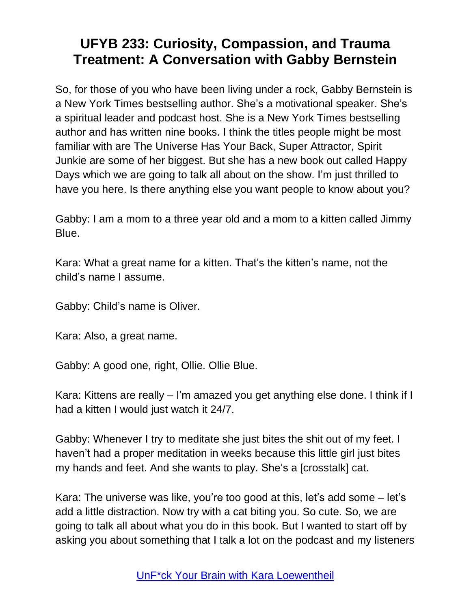So, for those of you who have been living under a rock, Gabby Bernstein is a New York Times bestselling author. She's a motivational speaker. She's a spiritual leader and podcast host. She is a New York Times bestselling author and has written nine books. I think the titles people might be most familiar with are The Universe Has Your Back, Super Attractor, Spirit Junkie are some of her biggest. But she has a new book out called Happy Days which we are going to talk all about on the show. I'm just thrilled to have you here. Is there anything else you want people to know about you?

Gabby: I am a mom to a three year old and a mom to a kitten called Jimmy Blue.

Kara: What a great name for a kitten. That's the kitten's name, not the child's name I assume.

Gabby: Child's name is Oliver.

Kara: Also, a great name.

Gabby: A good one, right, Ollie. Ollie Blue.

Kara: Kittens are really – I'm amazed you get anything else done. I think if I had a kitten I would just watch it 24/7.

Gabby: Whenever I try to meditate she just bites the shit out of my feet. I haven't had a proper meditation in weeks because this little girl just bites my hands and feet. And she wants to play. She's a [crosstalk] cat.

Kara: The universe was like, you're too good at this, let's add some – let's add a little distraction. Now try with a cat biting you. So cute. So, we are going to talk all about what you do in this book. But I wanted to start off by asking you about something that I talk a lot on the podcast and my listeners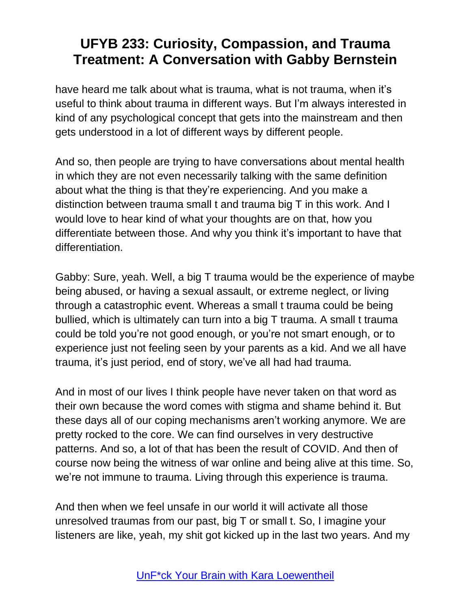have heard me talk about what is trauma, what is not trauma, when it's useful to think about trauma in different ways. But I'm always interested in kind of any psychological concept that gets into the mainstream and then gets understood in a lot of different ways by different people.

And so, then people are trying to have conversations about mental health in which they are not even necessarily talking with the same definition about what the thing is that they're experiencing. And you make a distinction between trauma small t and trauma big T in this work. And I would love to hear kind of what your thoughts are on that, how you differentiate between those. And why you think it's important to have that differentiation.

Gabby: Sure, yeah. Well, a big T trauma would be the experience of maybe being abused, or having a sexual assault, or extreme neglect, or living through a catastrophic event. Whereas a small t trauma could be being bullied, which is ultimately can turn into a big T trauma. A small t trauma could be told you're not good enough, or you're not smart enough, or to experience just not feeling seen by your parents as a kid. And we all have trauma, it's just period, end of story, we've all had had trauma.

And in most of our lives I think people have never taken on that word as their own because the word comes with stigma and shame behind it. But these days all of our coping mechanisms aren't working anymore. We are pretty rocked to the core. We can find ourselves in very destructive patterns. And so, a lot of that has been the result of COVID. And then of course now being the witness of war online and being alive at this time. So, we're not immune to trauma. Living through this experience is trauma.

And then when we feel unsafe in our world it will activate all those unresolved traumas from our past, big T or small t. So, I imagine your listeners are like, yeah, my shit got kicked up in the last two years. And my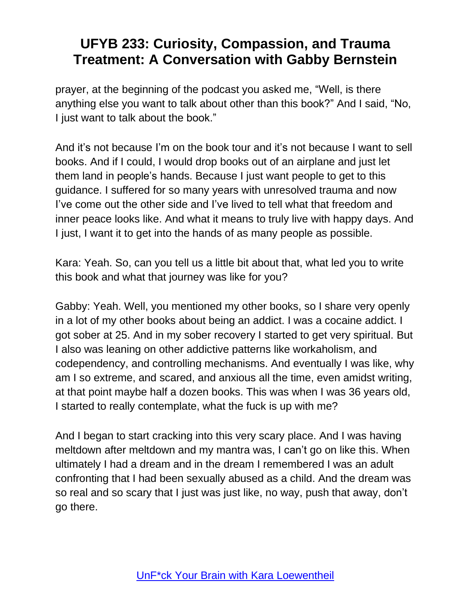prayer, at the beginning of the podcast you asked me, "Well, is there anything else you want to talk about other than this book?" And I said, "No, I just want to talk about the book."

And it's not because I'm on the book tour and it's not because I want to sell books. And if I could, I would drop books out of an airplane and just let them land in people's hands. Because I just want people to get to this guidance. I suffered for so many years with unresolved trauma and now I've come out the other side and I've lived to tell what that freedom and inner peace looks like. And what it means to truly live with happy days. And I just, I want it to get into the hands of as many people as possible.

Kara: Yeah. So, can you tell us a little bit about that, what led you to write this book and what that journey was like for you?

Gabby: Yeah. Well, you mentioned my other books, so I share very openly in a lot of my other books about being an addict. I was a cocaine addict. I got sober at 25. And in my sober recovery I started to get very spiritual. But I also was leaning on other addictive patterns like workaholism, and codependency, and controlling mechanisms. And eventually I was like, why am I so extreme, and scared, and anxious all the time, even amidst writing, at that point maybe half a dozen books. This was when I was 36 years old, I started to really contemplate, what the fuck is up with me?

And I began to start cracking into this very scary place. And I was having meltdown after meltdown and my mantra was, I can't go on like this. When ultimately I had a dream and in the dream I remembered I was an adult confronting that I had been sexually abused as a child. And the dream was so real and so scary that I just was just like, no way, push that away, don't go there.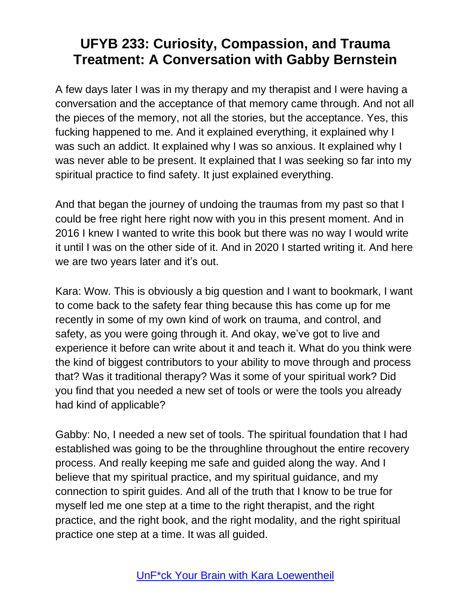A few days later I was in my therapy and my therapist and I were having a conversation and the acceptance of that memory came through. And not all the pieces of the memory, not all the stories, but the acceptance. Yes, this fucking happened to me. And it explained everything, it explained why I was such an addict. It explained why I was so anxious. It explained why I was never able to be present. It explained that I was seeking so far into my spiritual practice to find safety. It just explained everything.

And that began the journey of undoing the traumas from my past so that I could be free right here right now with you in this present moment. And in 2016 I knew I wanted to write this book but there was no way I would write it until I was on the other side of it. And in 2020 I started writing it. And here we are two years later and it's out.

Kara: Wow. This is obviously a big question and I want to bookmark, I want to come back to the safety fear thing because this has come up for me recently in some of my own kind of work on trauma, and control, and safety, as you were going through it. And okay, we've got to live and experience it before can write about it and teach it. What do you think were the kind of biggest contributors to your ability to move through and process that? Was it traditional therapy? Was it some of your spiritual work? Did you find that you needed a new set of tools or were the tools you already had kind of applicable?

Gabby: No, I needed a new set of tools. The spiritual foundation that I had established was going to be the throughline throughout the entire recovery process. And really keeping me safe and guided along the way. And I believe that my spiritual practice, and my spiritual guidance, and my connection to spirit guides. And all of the truth that I know to be true for myself led me one step at a time to the right therapist, and the right practice, and the right book, and the right modality, and the right spiritual practice one step at a time. It was all guided.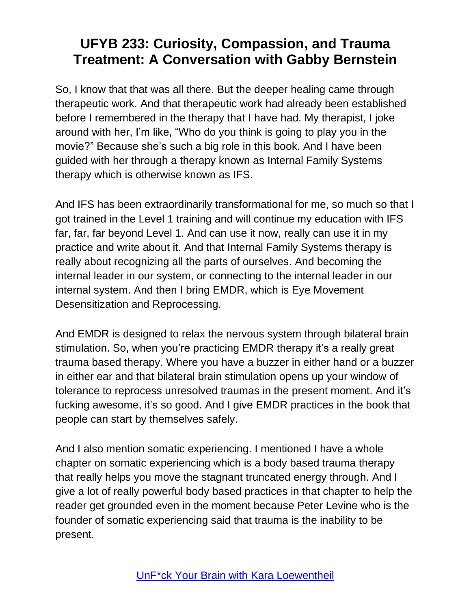So, I know that that was all there. But the deeper healing came through therapeutic work. And that therapeutic work had already been established before I remembered in the therapy that I have had. My therapist, I joke around with her, I'm like, "Who do you think is going to play you in the movie?" Because she's such a big role in this book. And I have been guided with her through a therapy known as Internal Family Systems therapy which is otherwise known as IFS.

And IFS has been extraordinarily transformational for me, so much so that I got trained in the Level 1 training and will continue my education with IFS far, far, far beyond Level 1. And can use it now, really can use it in my practice and write about it. And that Internal Family Systems therapy is really about recognizing all the parts of ourselves. And becoming the internal leader in our system, or connecting to the internal leader in our internal system. And then I bring EMDR, which is Eye Movement Desensitization and Reprocessing.

And EMDR is designed to relax the nervous system through bilateral brain stimulation. So, when you're practicing EMDR therapy it's a really great trauma based therapy. Where you have a buzzer in either hand or a buzzer in either ear and that bilateral brain stimulation opens up your window of tolerance to reprocess unresolved traumas in the present moment. And it's fucking awesome, it's so good. And I give EMDR practices in the book that people can start by themselves safely.

And I also mention somatic experiencing. I mentioned I have a whole chapter on somatic experiencing which is a body based trauma therapy that really helps you move the stagnant truncated energy through. And I give a lot of really powerful body based practices in that chapter to help the reader get grounded even in the moment because Peter Levine who is the founder of somatic experiencing said that trauma is the inability to be present.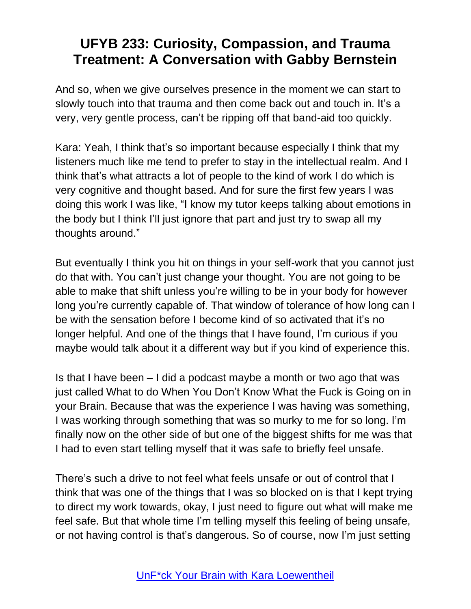And so, when we give ourselves presence in the moment we can start to slowly touch into that trauma and then come back out and touch in. It's a very, very gentle process, can't be ripping off that band-aid too quickly.

Kara: Yeah, I think that's so important because especially I think that my listeners much like me tend to prefer to stay in the intellectual realm. And I think that's what attracts a lot of people to the kind of work I do which is very cognitive and thought based. And for sure the first few years I was doing this work I was like, "I know my tutor keeps talking about emotions in the body but I think I'll just ignore that part and just try to swap all my thoughts around."

But eventually I think you hit on things in your self-work that you cannot just do that with. You can't just change your thought. You are not going to be able to make that shift unless you're willing to be in your body for however long you're currently capable of. That window of tolerance of how long can I be with the sensation before I become kind of so activated that it's no longer helpful. And one of the things that I have found, I'm curious if you maybe would talk about it a different way but if you kind of experience this.

Is that I have been – I did a podcast maybe a month or two ago that was just called What to do When You Don't Know What the Fuck is Going on in your Brain. Because that was the experience I was having was something, I was working through something that was so murky to me for so long. I'm finally now on the other side of but one of the biggest shifts for me was that I had to even start telling myself that it was safe to briefly feel unsafe.

There's such a drive to not feel what feels unsafe or out of control that I think that was one of the things that I was so blocked on is that I kept trying to direct my work towards, okay, I just need to figure out what will make me feel safe. But that whole time I'm telling myself this feeling of being unsafe, or not having control is that's dangerous. So of course, now I'm just setting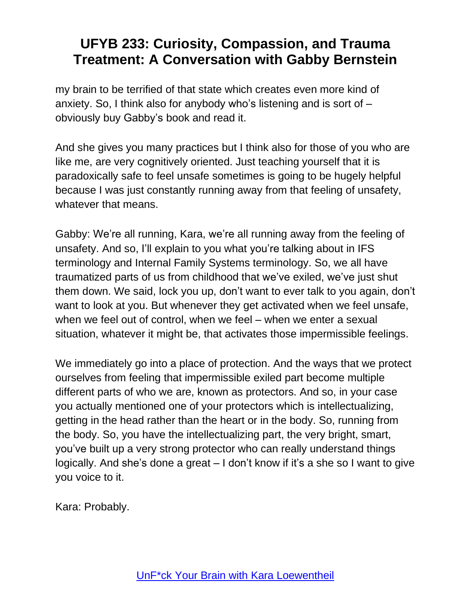my brain to be terrified of that state which creates even more kind of anxiety. So, I think also for anybody who's listening and is sort of – obviously buy Gabby's book and read it.

And she gives you many practices but I think also for those of you who are like me, are very cognitively oriented. Just teaching yourself that it is paradoxically safe to feel unsafe sometimes is going to be hugely helpful because I was just constantly running away from that feeling of unsafety, whatever that means.

Gabby: We're all running, Kara, we're all running away from the feeling of unsafety. And so, I'll explain to you what you're talking about in IFS terminology and Internal Family Systems terminology. So, we all have traumatized parts of us from childhood that we've exiled, we've just shut them down. We said, lock you up, don't want to ever talk to you again, don't want to look at you. But whenever they get activated when we feel unsafe, when we feel out of control, when we feel – when we enter a sexual situation, whatever it might be, that activates those impermissible feelings.

We immediately go into a place of protection. And the ways that we protect ourselves from feeling that impermissible exiled part become multiple different parts of who we are, known as protectors. And so, in your case you actually mentioned one of your protectors which is intellectualizing, getting in the head rather than the heart or in the body. So, running from the body. So, you have the intellectualizing part, the very bright, smart, you've built up a very strong protector who can really understand things logically. And she's done a great – I don't know if it's a she so I want to give you voice to it.

Kara: Probably.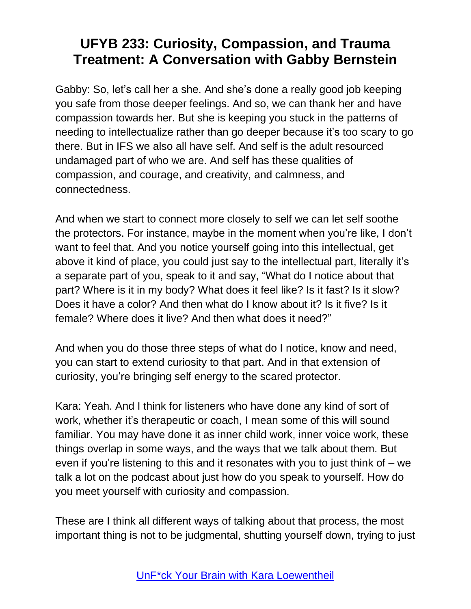Gabby: So, let's call her a she. And she's done a really good job keeping you safe from those deeper feelings. And so, we can thank her and have compassion towards her. But she is keeping you stuck in the patterns of needing to intellectualize rather than go deeper because it's too scary to go there. But in IFS we also all have self. And self is the adult resourced undamaged part of who we are. And self has these qualities of compassion, and courage, and creativity, and calmness, and connectedness.

And when we start to connect more closely to self we can let self soothe the protectors. For instance, maybe in the moment when you're like, I don't want to feel that. And you notice yourself going into this intellectual, get above it kind of place, you could just say to the intellectual part, literally it's a separate part of you, speak to it and say, "What do I notice about that part? Where is it in my body? What does it feel like? Is it fast? Is it slow? Does it have a color? And then what do I know about it? Is it five? Is it female? Where does it live? And then what does it need?"

And when you do those three steps of what do I notice, know and need, you can start to extend curiosity to that part. And in that extension of curiosity, you're bringing self energy to the scared protector.

Kara: Yeah. And I think for listeners who have done any kind of sort of work, whether it's therapeutic or coach, I mean some of this will sound familiar. You may have done it as inner child work, inner voice work, these things overlap in some ways, and the ways that we talk about them. But even if you're listening to this and it resonates with you to just think of  $-$  we talk a lot on the podcast about just how do you speak to yourself. How do you meet yourself with curiosity and compassion.

These are I think all different ways of talking about that process, the most important thing is not to be judgmental, shutting yourself down, trying to just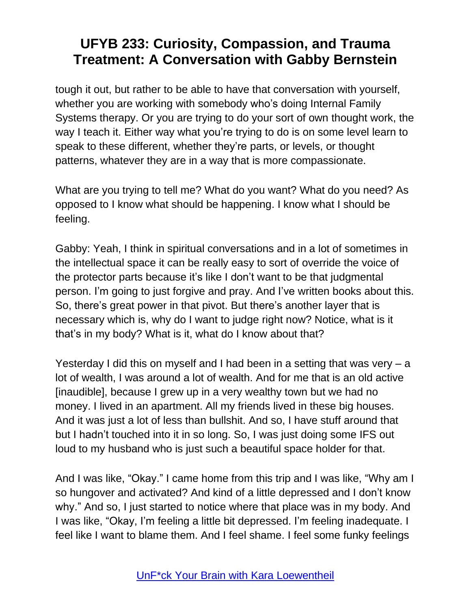tough it out, but rather to be able to have that conversation with yourself, whether you are working with somebody who's doing Internal Family Systems therapy. Or you are trying to do your sort of own thought work, the way I teach it. Either way what you're trying to do is on some level learn to speak to these different, whether they're parts, or levels, or thought patterns, whatever they are in a way that is more compassionate.

What are you trying to tell me? What do you want? What do you need? As opposed to I know what should be happening. I know what I should be feeling.

Gabby: Yeah, I think in spiritual conversations and in a lot of sometimes in the intellectual space it can be really easy to sort of override the voice of the protector parts because it's like I don't want to be that judgmental person. I'm going to just forgive and pray. And I've written books about this. So, there's great power in that pivot. But there's another layer that is necessary which is, why do I want to judge right now? Notice, what is it that's in my body? What is it, what do I know about that?

Yesterday I did this on myself and I had been in a setting that was very – a lot of wealth, I was around a lot of wealth. And for me that is an old active [inaudible], because I grew up in a very wealthy town but we had no money. I lived in an apartment. All my friends lived in these big houses. And it was just a lot of less than bullshit. And so, I have stuff around that but I hadn't touched into it in so long. So, I was just doing some IFS out loud to my husband who is just such a beautiful space holder for that.

And I was like, "Okay." I came home from this trip and I was like, "Why am I so hungover and activated? And kind of a little depressed and I don't know why." And so, I just started to notice where that place was in my body. And I was like, "Okay, I'm feeling a little bit depressed. I'm feeling inadequate. I feel like I want to blame them. And I feel shame. I feel some funky feelings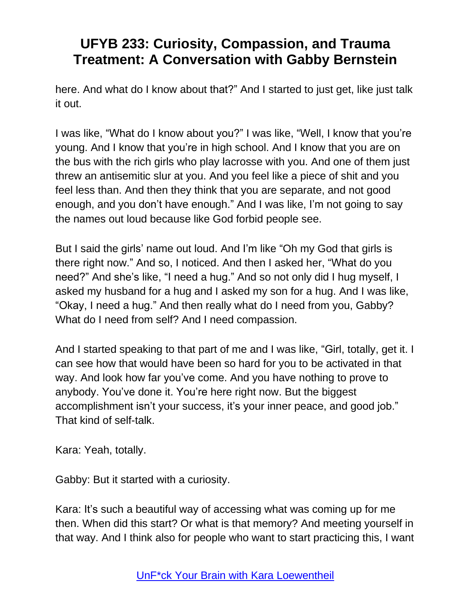here. And what do I know about that?" And I started to just get, like just talk it out.

I was like, "What do I know about you?" I was like, "Well, I know that you're young. And I know that you're in high school. And I know that you are on the bus with the rich girls who play lacrosse with you. And one of them just threw an antisemitic slur at you. And you feel like a piece of shit and you feel less than. And then they think that you are separate, and not good enough, and you don't have enough." And I was like, I'm not going to say the names out loud because like God forbid people see.

But I said the girls' name out loud. And I'm like "Oh my God that girls is there right now." And so, I noticed. And then I asked her, "What do you need?" And she's like, "I need a hug." And so not only did I hug myself, I asked my husband for a hug and I asked my son for a hug. And I was like, "Okay, I need a hug." And then really what do I need from you, Gabby? What do I need from self? And I need compassion.

And I started speaking to that part of me and I was like, "Girl, totally, get it. I can see how that would have been so hard for you to be activated in that way. And look how far you've come. And you have nothing to prove to anybody. You've done it. You're here right now. But the biggest accomplishment isn't your success, it's your inner peace, and good job." That kind of self-talk.

Kara: Yeah, totally.

Gabby: But it started with a curiosity.

Kara: It's such a beautiful way of accessing what was coming up for me then. When did this start? Or what is that memory? And meeting yourself in that way. And I think also for people who want to start practicing this, I want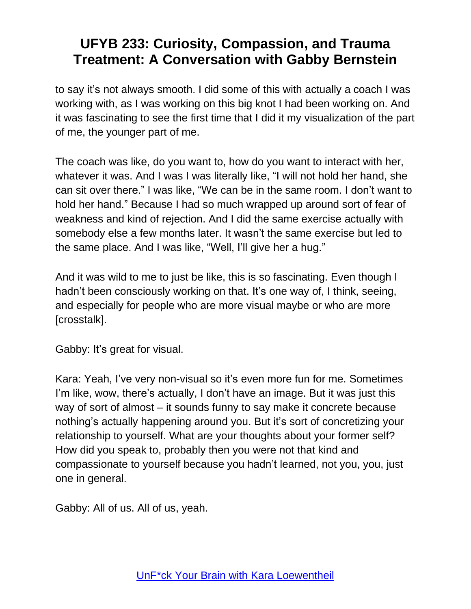to say it's not always smooth. I did some of this with actually a coach I was working with, as I was working on this big knot I had been working on. And it was fascinating to see the first time that I did it my visualization of the part of me, the younger part of me.

The coach was like, do you want to, how do you want to interact with her, whatever it was. And I was I was literally like, "I will not hold her hand, she can sit over there." I was like, "We can be in the same room. I don't want to hold her hand." Because I had so much wrapped up around sort of fear of weakness and kind of rejection. And I did the same exercise actually with somebody else a few months later. It wasn't the same exercise but led to the same place. And I was like, "Well, I'll give her a hug."

And it was wild to me to just be like, this is so fascinating. Even though I hadn't been consciously working on that. It's one way of, I think, seeing, and especially for people who are more visual maybe or who are more [crosstalk].

Gabby: It's great for visual.

Kara: Yeah, I've very non-visual so it's even more fun for me. Sometimes I'm like, wow, there's actually, I don't have an image. But it was just this way of sort of almost – it sounds funny to say make it concrete because nothing's actually happening around you. But it's sort of concretizing your relationship to yourself. What are your thoughts about your former self? How did you speak to, probably then you were not that kind and compassionate to yourself because you hadn't learned, not you, you, just one in general.

Gabby: All of us. All of us, yeah.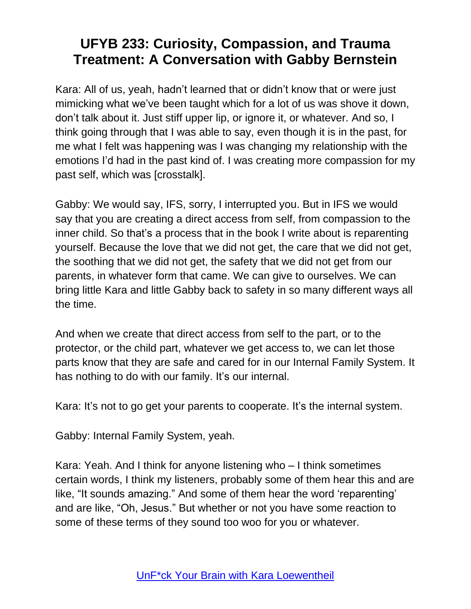Kara: All of us, yeah, hadn't learned that or didn't know that or were just mimicking what we've been taught which for a lot of us was shove it down, don't talk about it. Just stiff upper lip, or ignore it, or whatever. And so, I think going through that I was able to say, even though it is in the past, for me what I felt was happening was I was changing my relationship with the emotions I'd had in the past kind of. I was creating more compassion for my past self, which was [crosstalk].

Gabby: We would say, IFS, sorry, I interrupted you. But in IFS we would say that you are creating a direct access from self, from compassion to the inner child. So that's a process that in the book I write about is reparenting yourself. Because the love that we did not get, the care that we did not get, the soothing that we did not get, the safety that we did not get from our parents, in whatever form that came. We can give to ourselves. We can bring little Kara and little Gabby back to safety in so many different ways all the time.

And when we create that direct access from self to the part, or to the protector, or the child part, whatever we get access to, we can let those parts know that they are safe and cared for in our Internal Family System. It has nothing to do with our family. It's our internal.

Kara: It's not to go get your parents to cooperate. It's the internal system.

Gabby: Internal Family System, yeah.

Kara: Yeah. And I think for anyone listening who – I think sometimes certain words, I think my listeners, probably some of them hear this and are like, "It sounds amazing." And some of them hear the word 'reparenting' and are like, "Oh, Jesus." But whether or not you have some reaction to some of these terms of they sound too woo for you or whatever.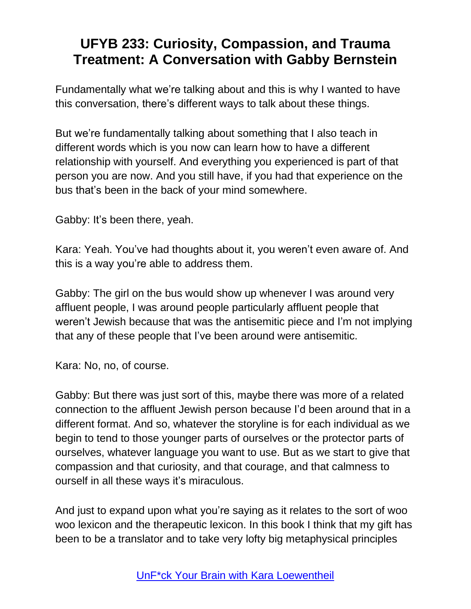Fundamentally what we're talking about and this is why I wanted to have this conversation, there's different ways to talk about these things.

But we're fundamentally talking about something that I also teach in different words which is you now can learn how to have a different relationship with yourself. And everything you experienced is part of that person you are now. And you still have, if you had that experience on the bus that's been in the back of your mind somewhere.

Gabby: It's been there, yeah.

Kara: Yeah. You've had thoughts about it, you weren't even aware of. And this is a way you're able to address them.

Gabby: The girl on the bus would show up whenever I was around very affluent people, I was around people particularly affluent people that weren't Jewish because that was the antisemitic piece and I'm not implying that any of these people that I've been around were antisemitic.

Kara: No, no, of course.

Gabby: But there was just sort of this, maybe there was more of a related connection to the affluent Jewish person because I'd been around that in a different format. And so, whatever the storyline is for each individual as we begin to tend to those younger parts of ourselves or the protector parts of ourselves, whatever language you want to use. But as we start to give that compassion and that curiosity, and that courage, and that calmness to ourself in all these ways it's miraculous.

And just to expand upon what you're saying as it relates to the sort of woo woo lexicon and the therapeutic lexicon. In this book I think that my gift has been to be a translator and to take very lofty big metaphysical principles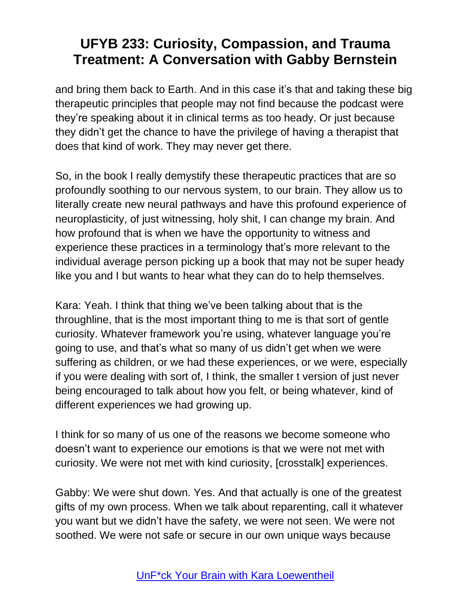and bring them back to Earth. And in this case it's that and taking these big therapeutic principles that people may not find because the podcast were they're speaking about it in clinical terms as too heady. Or just because they didn't get the chance to have the privilege of having a therapist that does that kind of work. They may never get there.

So, in the book I really demystify these therapeutic practices that are so profoundly soothing to our nervous system, to our brain. They allow us to literally create new neural pathways and have this profound experience of neuroplasticity, of just witnessing, holy shit, I can change my brain. And how profound that is when we have the opportunity to witness and experience these practices in a terminology that's more relevant to the individual average person picking up a book that may not be super heady like you and I but wants to hear what they can do to help themselves.

Kara: Yeah. I think that thing we've been talking about that is the throughline, that is the most important thing to me is that sort of gentle curiosity. Whatever framework you're using, whatever language you're going to use, and that's what so many of us didn't get when we were suffering as children, or we had these experiences, or we were, especially if you were dealing with sort of, I think, the smaller t version of just never being encouraged to talk about how you felt, or being whatever, kind of different experiences we had growing up.

I think for so many of us one of the reasons we become someone who doesn't want to experience our emotions is that we were not met with curiosity. We were not met with kind curiosity, [crosstalk] experiences.

Gabby: We were shut down. Yes. And that actually is one of the greatest gifts of my own process. When we talk about reparenting, call it whatever you want but we didn't have the safety, we were not seen. We were not soothed. We were not safe or secure in our own unique ways because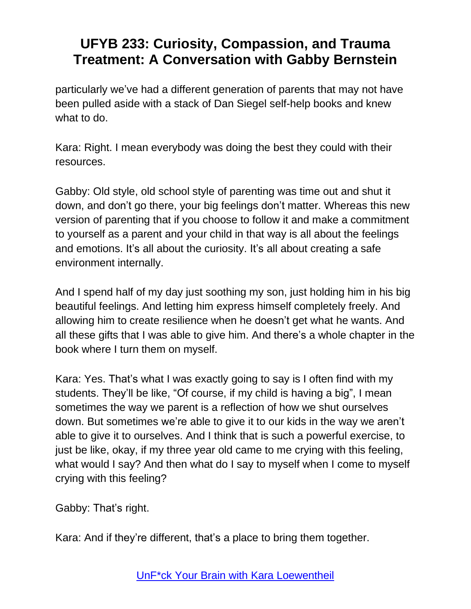particularly we've had a different generation of parents that may not have been pulled aside with a stack of Dan Siegel self-help books and knew what to do.

Kara: Right. I mean everybody was doing the best they could with their resources.

Gabby: Old style, old school style of parenting was time out and shut it down, and don't go there, your big feelings don't matter. Whereas this new version of parenting that if you choose to follow it and make a commitment to yourself as a parent and your child in that way is all about the feelings and emotions. It's all about the curiosity. It's all about creating a safe environment internally.

And I spend half of my day just soothing my son, just holding him in his big beautiful feelings. And letting him express himself completely freely. And allowing him to create resilience when he doesn't get what he wants. And all these gifts that I was able to give him. And there's a whole chapter in the book where I turn them on myself.

Kara: Yes. That's what I was exactly going to say is I often find with my students. They'll be like, "Of course, if my child is having a big", I mean sometimes the way we parent is a reflection of how we shut ourselves down. But sometimes we're able to give it to our kids in the way we aren't able to give it to ourselves. And I think that is such a powerful exercise, to just be like, okay, if my three year old came to me crying with this feeling, what would I say? And then what do I say to myself when I come to myself crying with this feeling?

Gabby: That's right.

Kara: And if they're different, that's a place to bring them together.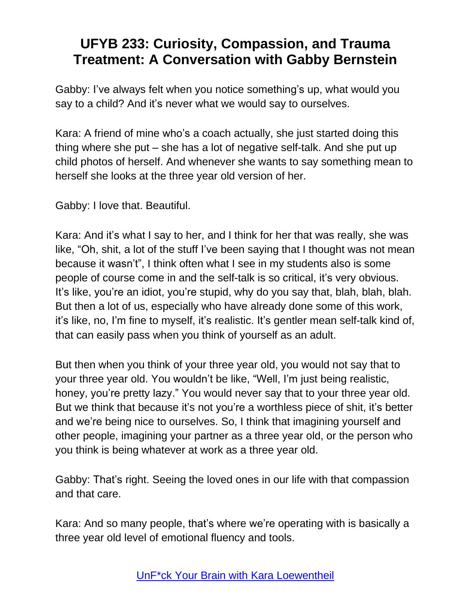Gabby: I've always felt when you notice something's up, what would you say to a child? And it's never what we would say to ourselves.

Kara: A friend of mine who's a coach actually, she just started doing this thing where she put – she has a lot of negative self-talk. And she put up child photos of herself. And whenever she wants to say something mean to herself she looks at the three year old version of her.

Gabby: I love that. Beautiful.

Kara: And it's what I say to her, and I think for her that was really, she was like, "Oh, shit, a lot of the stuff I've been saying that I thought was not mean because it wasn't", I think often what I see in my students also is some people of course come in and the self-talk is so critical, it's very obvious. It's like, you're an idiot, you're stupid, why do you say that, blah, blah, blah. But then a lot of us, especially who have already done some of this work, it's like, no, I'm fine to myself, it's realistic. It's gentler mean self-talk kind of, that can easily pass when you think of yourself as an adult.

But then when you think of your three year old, you would not say that to your three year old. You wouldn't be like, "Well, I'm just being realistic, honey, you're pretty lazy." You would never say that to your three year old. But we think that because it's not you're a worthless piece of shit, it's better and we're being nice to ourselves. So, I think that imagining yourself and other people, imagining your partner as a three year old, or the person who you think is being whatever at work as a three year old.

Gabby: That's right. Seeing the loved ones in our life with that compassion and that care.

Kara: And so many people, that's where we're operating with is basically a three year old level of emotional fluency and tools.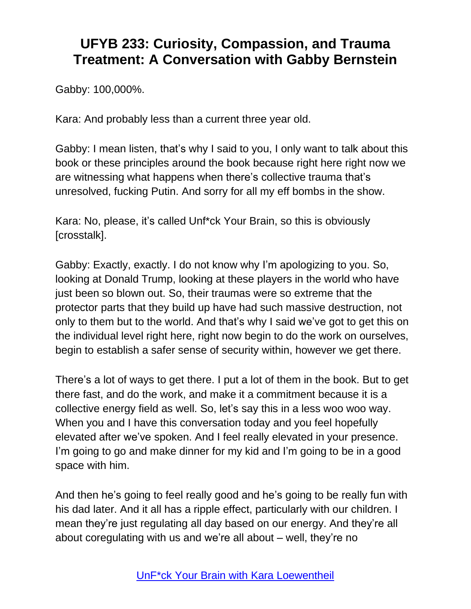Gabby: 100,000%.

Kara: And probably less than a current three year old.

Gabby: I mean listen, that's why I said to you, I only want to talk about this book or these principles around the book because right here right now we are witnessing what happens when there's collective trauma that's unresolved, fucking Putin. And sorry for all my eff bombs in the show.

Kara: No, please, it's called Unf\*ck Your Brain, so this is obviously [crosstalk].

Gabby: Exactly, exactly. I do not know why I'm apologizing to you. So, looking at Donald Trump, looking at these players in the world who have just been so blown out. So, their traumas were so extreme that the protector parts that they build up have had such massive destruction, not only to them but to the world. And that's why I said we've got to get this on the individual level right here, right now begin to do the work on ourselves, begin to establish a safer sense of security within, however we get there.

There's a lot of ways to get there. I put a lot of them in the book. But to get there fast, and do the work, and make it a commitment because it is a collective energy field as well. So, let's say this in a less woo woo way. When you and I have this conversation today and you feel hopefully elevated after we've spoken. And I feel really elevated in your presence. I'm going to go and make dinner for my kid and I'm going to be in a good space with him.

And then he's going to feel really good and he's going to be really fun with his dad later. And it all has a ripple effect, particularly with our children. I mean they're just regulating all day based on our energy. And they're all about coregulating with us and we're all about – well, they're no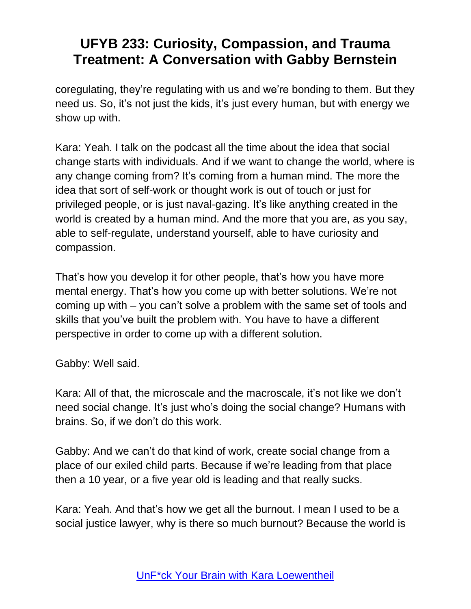coregulating, they're regulating with us and we're bonding to them. But they need us. So, it's not just the kids, it's just every human, but with energy we show up with.

Kara: Yeah. I talk on the podcast all the time about the idea that social change starts with individuals. And if we want to change the world, where is any change coming from? It's coming from a human mind. The more the idea that sort of self-work or thought work is out of touch or just for privileged people, or is just naval-gazing. It's like anything created in the world is created by a human mind. And the more that you are, as you say, able to self-regulate, understand yourself, able to have curiosity and compassion.

That's how you develop it for other people, that's how you have more mental energy. That's how you come up with better solutions. We're not coming up with – you can't solve a problem with the same set of tools and skills that you've built the problem with. You have to have a different perspective in order to come up with a different solution.

Gabby: Well said.

Kara: All of that, the microscale and the macroscale, it's not like we don't need social change. It's just who's doing the social change? Humans with brains. So, if we don't do this work.

Gabby: And we can't do that kind of work, create social change from a place of our exiled child parts. Because if we're leading from that place then a 10 year, or a five year old is leading and that really sucks.

Kara: Yeah. And that's how we get all the burnout. I mean I used to be a social justice lawyer, why is there so much burnout? Because the world is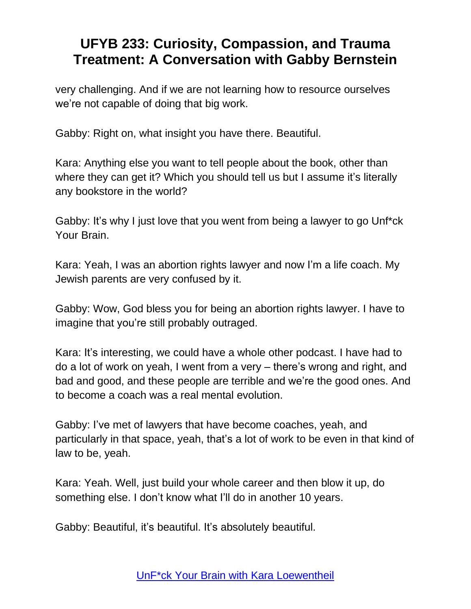very challenging. And if we are not learning how to resource ourselves we're not capable of doing that big work.

Gabby: Right on, what insight you have there. Beautiful.

Kara: Anything else you want to tell people about the book, other than where they can get it? Which you should tell us but I assume it's literally any bookstore in the world?

Gabby: It's why I just love that you went from being a lawyer to go Unf\*ck Your Brain.

Kara: Yeah, I was an abortion rights lawyer and now I'm a life coach. My Jewish parents are very confused by it.

Gabby: Wow, God bless you for being an abortion rights lawyer. I have to imagine that you're still probably outraged.

Kara: It's interesting, we could have a whole other podcast. I have had to do a lot of work on yeah, I went from a very – there's wrong and right, and bad and good, and these people are terrible and we're the good ones. And to become a coach was a real mental evolution.

Gabby: I've met of lawyers that have become coaches, yeah, and particularly in that space, yeah, that's a lot of work to be even in that kind of law to be, yeah.

Kara: Yeah. Well, just build your whole career and then blow it up, do something else. I don't know what I'll do in another 10 years.

Gabby: Beautiful, it's beautiful. It's absolutely beautiful.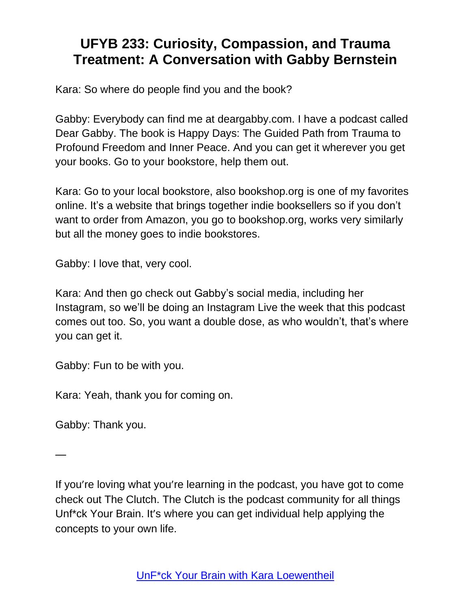Kara: So where do people find you and the book?

Gabby: Everybody can find me at deargabby.com. I have a podcast called Dear Gabby. The book is Happy Days: The Guided Path from Trauma to Profound Freedom and Inner Peace. And you can get it wherever you get your books. Go to your bookstore, help them out.

Kara: Go to your local bookstore, also bookshop.org is one of my favorites online. It's a website that brings together indie booksellers so if you don't want to order from Amazon, you go to bookshop.org, works very similarly but all the money goes to indie bookstores.

Gabby: I love that, very cool.

Kara: And then go check out Gabby's social media, including her Instagram, so we'll be doing an Instagram Live the week that this podcast comes out too. So, you want a double dose, as who wouldn't, that's where you can get it.

Gabby: Fun to be with you.

Kara: Yeah, thank you for coming on.

Gabby: Thank you.

—

If you're loving what you're learning in the podcast, you have got to come check out The Clutch. The Clutch is the podcast community for all things Unf\*ck Your Brain. It's where you can get individual help applying the concepts to your own life.